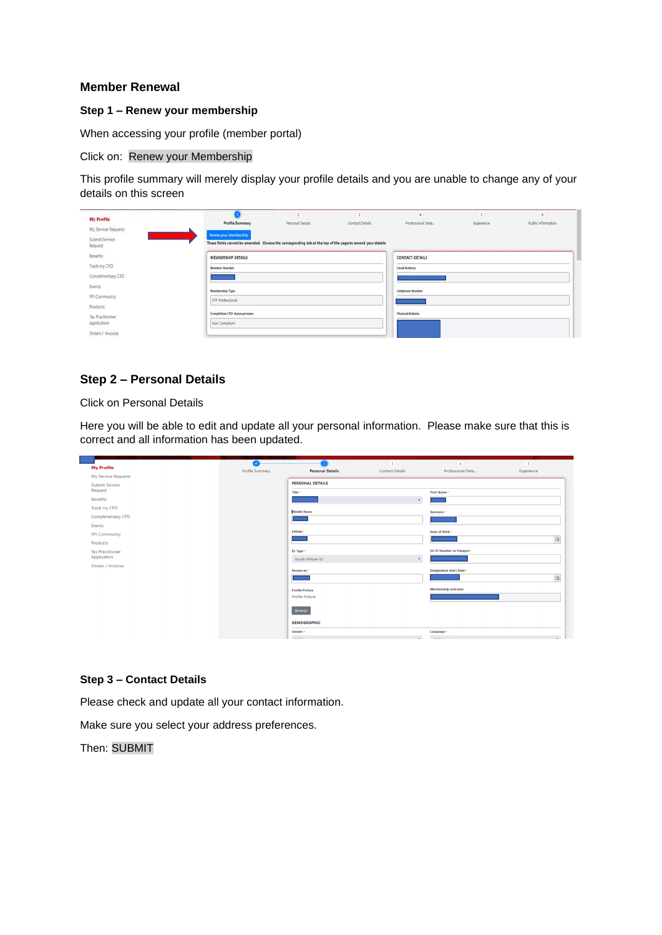#### Member Renewal

Step 1 – Renew your membership

When accessing your profile (member portal)

#### Click on: Renew your Membership

This profile summary will merely display your profile details and you are unable to change any of your details on this screen

| <b>My Profile</b>         |                                                                                                                                    |                  |                 |                         |            |                    |
|---------------------------|------------------------------------------------------------------------------------------------------------------------------------|------------------|-----------------|-------------------------|------------|--------------------|
|                           | <b>Profile Summary</b>                                                                                                             | Personal Details | Contact Details | Professional Deta.      | Experience | Public information |
| My Service Requests       |                                                                                                                                    |                  |                 | <b>SOUTHERN</b>         |            |                    |
| Submit Service<br>Request | Renew your Membership<br>These fields cannot be amended. Choose the corresponding tab at the top of the page to amend your details |                  |                 |                         |            |                    |
| Benefits                  | MEMBERSHIP DETAILS                                                                                                                 |                  |                 | CONTACT DETAILS         |            |                    |
| Track my CPD              | Member Number                                                                                                                      |                  |                 | <b>Email Address</b>    |            |                    |
| Complimentary CPD         |                                                                                                                                    |                  |                 |                         |            |                    |
| Events                    | Membership Type                                                                                                                    |                  |                 | Cellphone Number        |            |                    |
| FPI Community             | CFP Professional                                                                                                                   |                  |                 |                         |            |                    |
| Products                  |                                                                                                                                    |                  |                 |                         |            |                    |
| Tax Practitioner          | Completion CPD status preview                                                                                                      |                  |                 | <b>Physical Address</b> |            |                    |
| Application               | Non Compliant                                                                                                                      |                  |                 |                         |            |                    |
| Orders / Invoices         |                                                                                                                                    |                  |                 |                         |            |                    |

# Step 2 – Personal Details

# Click on Personal Details

Here you will be able to edit and update all your personal information. Please make sure that this is correct and all information has been updated.

|                                  | $\bullet$       | ۰.                                 |                        | $\sim$ 3 and 3 and 3 and 4 and 4 and 4 and 4 and 4 and 4 and 4 and 4 and 4 and 4 and 4 and 4 and 4 and 4 and 4 and 4 and 4 and 4 and 4 and 4 and 4 and 4 and 4 and 4 and 4 and 4 and 4 and 4 and 4 and 4 and 4 and 4 and 4 and | $\left( 5 \right)$ |
|----------------------------------|-----------------|------------------------------------|------------------------|--------------------------------------------------------------------------------------------------------------------------------------------------------------------------------------------------------------------------------|--------------------|
| <b>My Profile</b>                | Profile Summary | <b>Personal Details</b>            | <b>Contact Details</b> | Professional Deta                                                                                                                                                                                                              | Experience         |
| My Service Requests              |                 |                                    |                        |                                                                                                                                                                                                                                |                    |
| <b>Submit Service</b><br>Request |                 | <b>PERSONAL DETAILS</b><br>Title * |                        | <b>First Name *</b>                                                                                                                                                                                                            |                    |
| <b>Benefits</b>                  |                 |                                    | $\mathbf{v}$           |                                                                                                                                                                                                                                |                    |
| Track my CPD                     |                 | <b>Middle Name</b>                 |                        | Surname *                                                                                                                                                                                                                      |                    |
| <b>Complimentary CPD</b>         |                 |                                    |                        |                                                                                                                                                                                                                                |                    |
| Events                           |                 |                                    |                        |                                                                                                                                                                                                                                |                    |
| <b>FPI Community</b>             |                 | Initials <sup>*</sup>              |                        | Date of Birth *                                                                                                                                                                                                                |                    |
| Products                         |                 |                                    |                        |                                                                                                                                                                                                                                | $\Omega$           |
| <b>Tax Practitioner</b>          |                 | ID Type *                          |                        | <b>SA ID Number or Passport</b>                                                                                                                                                                                                |                    |
| Application<br>Orders / Invoices |                 | South African ID                   | $\mathbf{v}$           |                                                                                                                                                                                                                                |                    |
|                                  |                 | Known as *                         |                        | <b>Designation Start Date *</b>                                                                                                                                                                                                |                    |
|                                  |                 |                                    |                        |                                                                                                                                                                                                                                | $\alpha$           |
|                                  |                 | <b>Profile Picture</b>             |                        | <b>Membership end date</b>                                                                                                                                                                                                     |                    |
|                                  |                 | <b>Profile Picture</b>             |                        |                                                                                                                                                                                                                                |                    |
|                                  |                 | <b>Browse</b>                      |                        |                                                                                                                                                                                                                                |                    |
|                                  |                 | <b>DEMOGRAPHIC</b>                 |                        |                                                                                                                                                                                                                                |                    |
|                                  |                 | Gender *                           |                        | Language *                                                                                                                                                                                                                     |                    |
|                                  |                 | <b>CARL CAR</b>                    |                        | <b>CARDIOGRAPH</b>                                                                                                                                                                                                             |                    |

### Step 3 – Contact Details

Please check and update all your contact information.

Make sure you select your address preferences.

Then: SUBMIT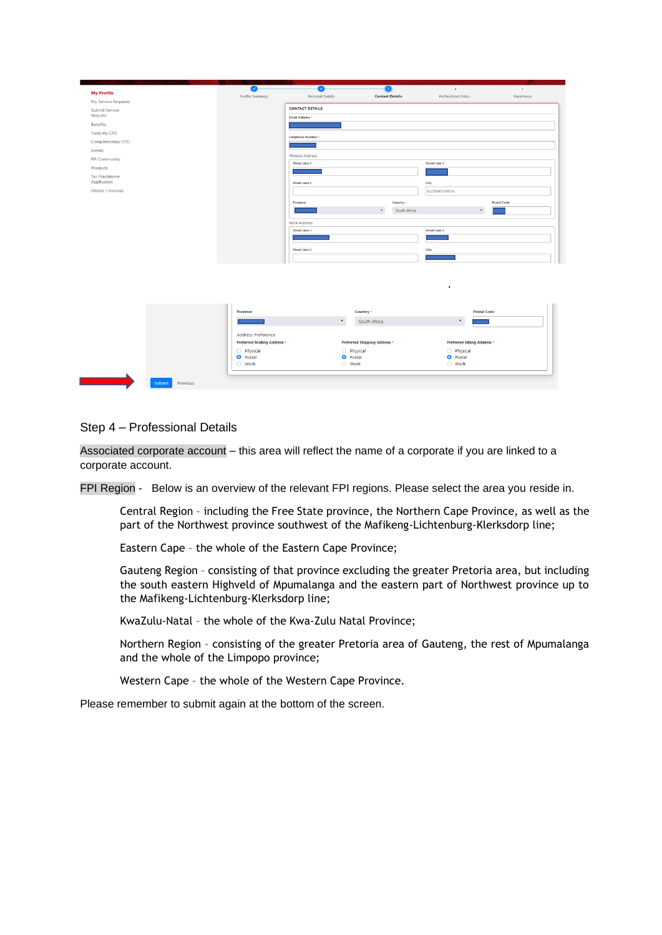

### Step 4 – Professional Details

Associated corporate account – this area will reflect the name of a corporate if you are linked to a corporate account.

FPI Region - Below is an overview of the relevant FPI regions. Please select the area you reside in.

Central Region – including the Free State province, the Northern Cape Province, as well as the part of the Northwest province southwest of the Mafikeng-Lichtenburg-Klerksdorp line;

Eastern Cape – the whole of the Eastern Cape Province;

Gauteng Region – consisting of that province excluding the greater Pretoria area, but including the south eastern Highveld of Mpumalanga and the eastern part of Northwest province up to the Mafikeng-Lichtenburg-Klerksdorp line;

KwaZulu-Natal – the whole of the Kwa-Zulu Natal Province;

Northern Region – consisting of the greater Pretoria area of Gauteng, the rest of Mpumalanga and the whole of the Limpopo province;

Western Cape – the whole of the Western Cape Province.

Please remember to submit again at the bottom of the screen.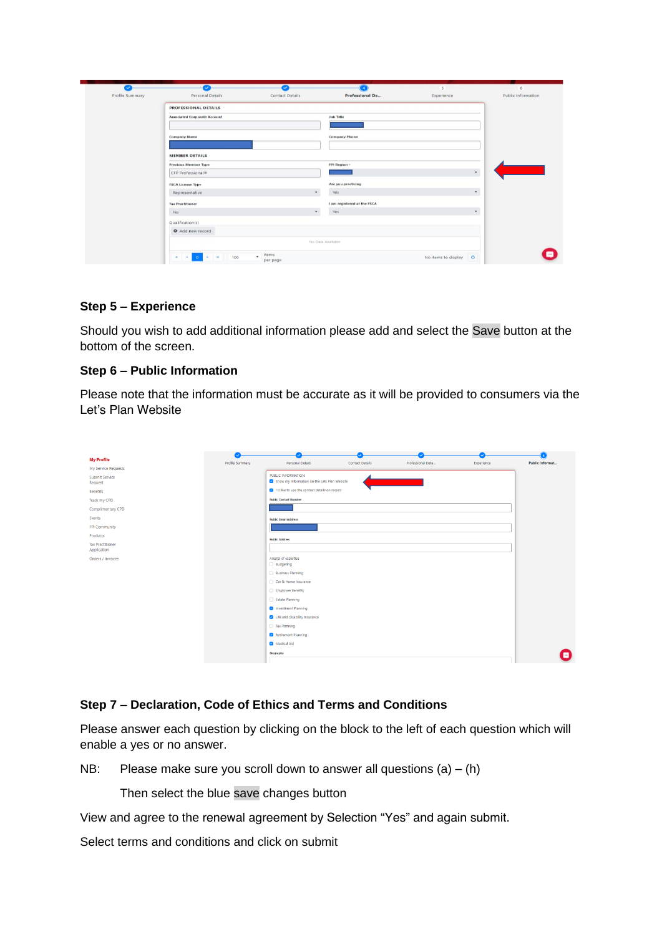| $\tilde{\phantom{a}}$ | $\checkmark$                        | $\checkmark$           |                             | $\sim$ 5              |                    |  |
|-----------------------|-------------------------------------|------------------------|-----------------------------|-----------------------|--------------------|--|
| Profile Summary       | Personal Details                    | <b>Contact Details</b> | Professional De             | Experience            | Public Information |  |
|                       | <b>PROFESSIONAL DETAILS</b>         |                        |                             |                       |                    |  |
|                       | <b>Associated Corporate Account</b> |                        | <b>Job Title</b>            |                       |                    |  |
|                       |                                     |                        |                             |                       |                    |  |
|                       | <b>Company Name</b>                 |                        | <b>Company Phone</b>        |                       |                    |  |
|                       |                                     |                        |                             |                       |                    |  |
|                       | <b>MEMBER DETAILS</b>               |                        |                             |                       |                    |  |
|                       | <b>Previous Member Type</b>         |                        | <b>FPI Region</b> *         |                       |                    |  |
|                       | CFP Professional®                   |                        |                             | $\mathbf{v}$          |                    |  |
|                       | <b>FSCA License Type</b>            |                        | Are you practicing          |                       |                    |  |
|                       | Representative                      | $\ddot{}$              | Yes                         | $\star$               |                    |  |
|                       | <b>Tax Practitioner</b>             |                        | I am registered at the FSCA |                       |                    |  |
|                       | 00224<br>No                         | $\mathbf{v}$           | Yes                         | $\psi$                |                    |  |
|                       | Qualification(s)                    |                        |                             |                       |                    |  |
|                       | O Add new record                    |                        |                             |                       |                    |  |
|                       | No Data Available                   |                        |                             |                       |                    |  |
|                       |                                     | items                  |                             |                       |                    |  |
|                       | $\ddot{}$<br>100                    | per page               |                             | No items to display C |                    |  |

# Step 5 – Experience

Should you wish to add additional information please add and select the Save button at the bottom of the screen.

# Step 6 – Public Information

Please note that the information must be accurate as it will be provided to consumers via the Let's Plan Website

|                                        | V               | Ō,                                                                 |                        |                   |            |                 |
|----------------------------------------|-----------------|--------------------------------------------------------------------|------------------------|-------------------|------------|-----------------|
| <b>My Profile</b>                      | Profile Summary | Personal Details                                                   | <b>Contact Details</b> | Professional Deta | Experience | Public Informat |
| My Service Requests                    |                 |                                                                    |                        |                   |            |                 |
| Submit Service<br>Request              |                 | PUBLIC INFORMATION<br>Show my Information on the Lets Plan Website |                        |                   |            |                 |
| Benefits                               |                 | I'd like to use the contact details on record                      |                        |                   |            |                 |
| Track my CPD                           |                 | <b>Public Contact Number</b>                                       |                        |                   |            |                 |
| Complimentary CPD                      |                 |                                                                    |                        |                   |            |                 |
| Events                                 |                 | <b>Public Email Address</b>                                        |                        |                   |            |                 |
| FPI Community                          |                 |                                                                    |                        |                   |            |                 |
| Products                               |                 | <b>Public Address</b>                                              |                        |                   |            |                 |
| <b>Tax Practitioner</b><br>Application |                 |                                                                    |                        |                   |            |                 |
| Orders / Invoices                      |                 | Area(s) of expertise                                               |                        |                   |            |                 |
|                                        |                 | <b>Budgeting</b>                                                   |                        |                   |            |                 |
|                                        |                 | Business Planning                                                  |                        |                   |            |                 |
|                                        |                 | Car & Home Insurance                                               |                        |                   |            |                 |
|                                        |                 | Employee Benefits                                                  |                        |                   |            |                 |
|                                        |                 | Estate Planning                                                    |                        |                   |            |                 |
|                                        |                 | Investment Planning                                                |                        |                   |            |                 |
|                                        |                 | <b>2</b> Life and Disability Insurance                             |                        |                   |            |                 |
|                                        |                 | Tax Planning                                                       |                        |                   |            |                 |
|                                        |                 | Retirement Planning                                                |                        |                   |            |                 |
|                                        |                 | Medical Aid                                                        |                        |                   |            |                 |
|                                        |                 | Biography                                                          |                        |                   |            |                 |
|                                        |                 |                                                                    |                        |                   |            |                 |

# Step 7 – Declaration, Code of Ethics and Terms and Conditions

Please answer each question by clicking on the block to the left of each question which will enable a yes or no answer.

NB: Please make sure you scroll down to answer all questions  $(a) - (h)$ 

Then select the blue save changes button

View and agree to the renewal agreement by Selection "Yes" and again submit.

Select terms and conditions and click on submit